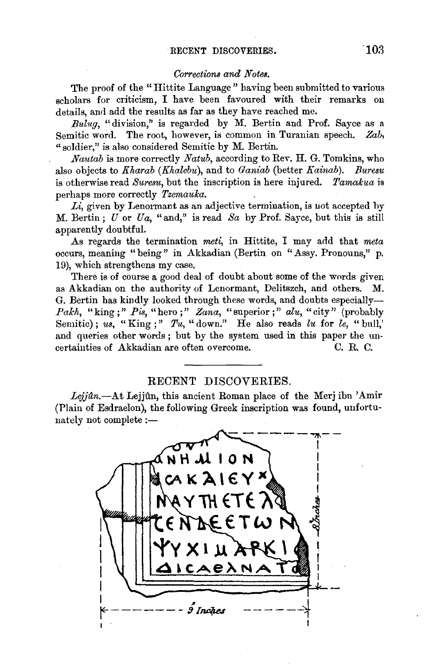## *Corrections and Notes.*

The proof of the "Hittite Language" having been submitted to various scholars for criticism, I have been favoured with their remarks on details, and add the results as far as they have reached me.

*Bulug,* "division," is regarded by *M.* Bertin and Prof. Sayee as a Semitic word. The root, however, is common in Turanian speech. *Zab,*  "soldier," is also considered Semitic by M. Bertin.

*Nautab* is more correctly *Natub,* according to Rev. **H.** G. Tomkins, who also objects to *Kharab (Khalebu),* and to *Ganiab* (better *Kainab). Buresu*  is otherwise read *Suresu,* but the inscription is here injured. *Tamalcua* is perhaps more correctly *Tzemaulca.* 

*Li,* given by Lenormant as an adjective termination, is uot accepted by *M.* Bertin; *U* or *Ua,* "and," is read *Sa* by Prof. Sayee, but this is still apparently doubtful.

.As regards the termination *meti,* in Hittite, I may add that *meta*  occurs, meaning "being" in Akkadian (Bertin on "Assy. Pronouns," p. 19), which strengthens my case.

There is of course a good deal of doubt about some of the words given as Akkadian on the authority of Lenormant, Delitszch, and others. M. G. Bertin has kindly looked through these words, and doubts especially-*Palch,* "king;" *Pis,* "hero;" *Zana,* "superior;" *alu,* "city" (probably Semitic); *us,* "King;" *Tu,* "down." He also reads *lu* for *le,* "bull,' and queries other words ; but by the system used in this paper the uncertainties of Akkadian are often overcome. C. R. C.

## RECENT DISCOVERIES.

Lejjún.-At Lejjún, this ancient Roman place of the Merj ibn 'Amir (Plain of Esdraelon), the following Greek inscription was found, unfortunately not complete :-

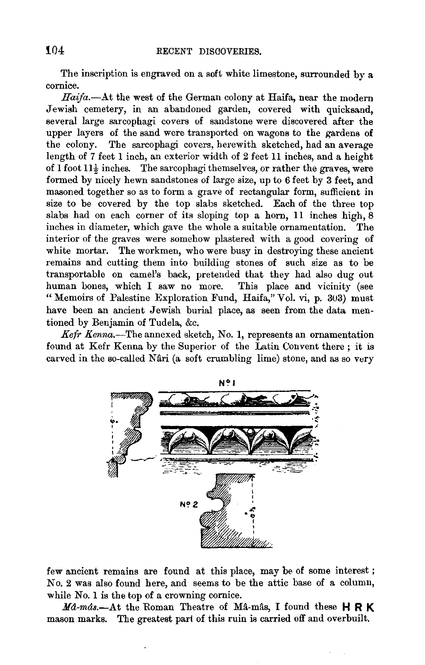The inscription is engraved on a soft white limestone, surrounded by a cornice.

*Haifa.-.A.t* the west of the German colony at Haifa, near the modern Jewish cemetery, in an abandoned garden, covered with quicksand, several large sarcophagi covers of sandstone were discovered after the upper layers of the sand were transported on wagons to the gardens of the colony. The sarcophagi covers, herewith sketched, had an average length of 7 feet 1 inch, an exterior width of 2 feet 11 inches, and a height of 1 foot  $11\frac{1}{2}$  inches. The sarcophagi themselves, or rather the graves, were formed by nicely hewn sandstones of large size, up to 6 feet by 3 feet, and masoned together so as to form a grave of rectangular form, sufficient in size to be covered by the top slabs sketched. Each of the three top slabs had on each corner of its sloping top a horn, 11 inches high, 8 inches in diameter, which gave the whole a suitable ornamentation. The interior of the graves were somehow plastered with a good covering of white mortar. The workmen, who were busy in destroying these ancient remains and cutting them into building stones of such size as to be transportable on camel's back, pretended that they had also dug out human bones, which I saw no more. This place and vicinity (see "Memoirs of Palestine Exploration Fund, Haifa," Vol. vi, p. 303) must have been an ancient Jewish burial place, as seen from the data mentioned by Benjamin of Tudela, &c.

*Kefr Kenna.-The* annexed sketch, No. 1, represents an ornamentation found at Kefr Kenna by the Superior of the Latin Convent there ; it is carved in the so-called Nâri (a soft crumbling lime) stone, and as so very



few ancient remains are found at this place, may be of some interest ; No. 2 was also found here, and seems to be the attic base of a column, while No. 1 is the top of a crowning cornice.<br>Md-mas.—At the Roman Theatre of Ma-mas, I found these  $H R K$ 

mason marks. The greatest part of this ruin is carried off and overbuilt.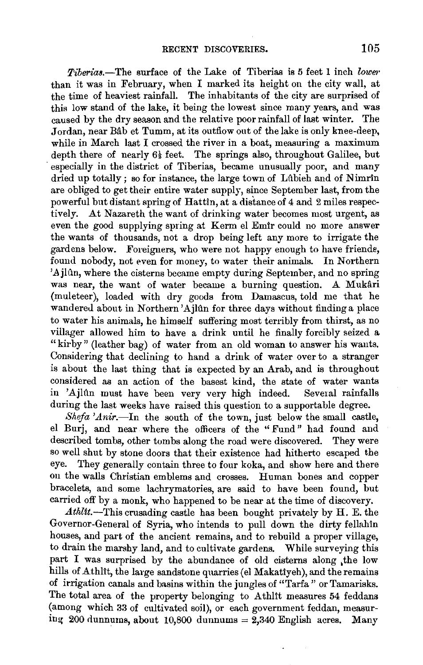*Tiberias.*—The surface of the Lake of Tiberias is 5 feet 1 inch *lower* than it was in February, when I marked its height on the city wall, at the time of heaviest rainfall. The inhabitants of the city are surprised of this low stand of the lake, it being the lowest since many years, and was caused by the dry season and the relative poor rainfall of last winter. The Jordan, near Bâb et Tumm, at its outflow out of the lake is only knee-deep, while in March last I crossed the river in a boat, measuring a maximum depth there of nearly  $6\frac{1}{2}$  feet. The springs also, throughout Galilee, but especially in the district of Tiberias, became unusually poor, and many dried up totally; so for instance, the large town of Lubieh and of Nimrin are obliged to get their entire water supply, since September last, from the powerful but distant spring of Hattln, at a distance of 4 and 2 miles respectively. At Nazareth the want of drinking water becomes most urgent, as even the good supplying spring at Kerm el Emir could no more answer the wants of thousands, not a drop being left any more to irrigate the gardens below. Foreigners, who were not happy enough to have friende, found nobody, not even for money, to water their animals. In Northern 'Ajlûn, where the cisterns became empty during September, and no spring was near, the want of water became a burning question. A Mukâri (muleteer), loaded with dry goods from Damascus, told me that he wandered about in Northern'Ajlûn for three days without finding a place to water his animals, he himself suffering most terribly from thirst, as no villager allowed him to have a drink until he finally forcibly seized a "kirby" (leather bag) of water from an old woman to answer his wants. Considering that declining to hand a drink of water over to a stranger is about the last thing that is expected by an Arab, and is throughout considered as an action of the basest kind, the state of water wants in 'Ajlûn must have been very very high indeed. Several rainfalls in 'Ajlûn must have been very very high indeed. during the last weeks have raised this question to a supportable degree.

*Shefa 'Anir.-In* the south of the town, just below the small castle, el Burj, and near where the officers of the "Fund" had found and described tombs, other tombs along the road were discovered. They were so well shut by stone doors that their existence had hitherto escaped the eye. They generally contain three to four koka, and show here and there They generally contain three to four koka, and show here and there on the walls Christian emblems and crosses. Human bones and copper bracelets, and some lachrymatories, are said to have been found, but carried off by a monk, who happened to be near at the time of discovery.

*Athltt.-This* crusading castle has been bought privately by H. E. the Governor-General of Syria, who intends to pull down the dirty fellahtn houses, and part of the ancient remains, and to rebuild a proper village, to drain the marshy land, and to cultivate gardens. While surveying this part I was surprised by the abundance of old cisterns along the low hills of Athlit, the large sandstone quarries (el Makatiyeh), and the remains of irrigation canals and basins within the jungles of "Tarfa" or Tamarisks. The total area of the property belonging to Athlit measures 54 feddans (among which 33 of cultivated soil), or each government feddan, measuring 200 dunnums, about 10,800 dunnums = 2,340 English acres. Many